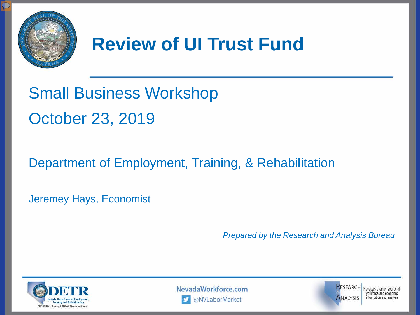

## **Review of UI Trust Fund**

# Small Business Workshop October 23, 2019

#### Department of Employment, Training, & Rehabilitation

Jeremey Hays, Economist

*Prepared by the Research and Analysis Bureau*







vorkforce and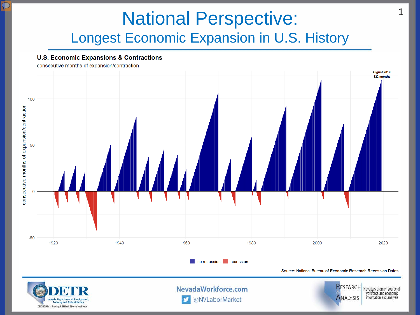#### National Perspective: Longest Economic Expansion in U.S. History

**U.S. Economic Expansions & Contractions** 

devada Department of Employment **Training and Rehabilitation ONE NEVADA - Growing A Skilled, Diverse Workforce** 

consecutive months of expansion/contraction August 2019: 122 months 100 consecutive months of expansion/contraction 50  $-50$ 1920 1940 1960 1980 2000 2020 no recession recession Source: National Bureau of Economic Research Recession Dates RESEARCH NevadaWorkforce.com Nevada's premier source of workforce and economic **ANALYSIS** 

@NVLaborMarket

information and analysis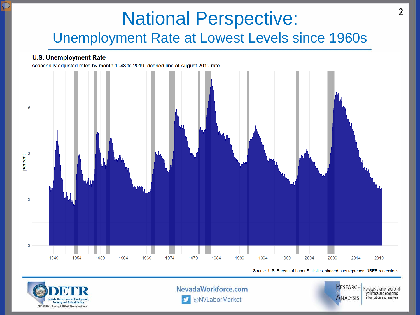#### National Perspective: Unemployment Rate at Lowest Levels since 1960s

#### **U.S. Unemployment Rate**

seasonally adjusted rates by month 1948 to 2019, dashed line at August 2019 rate



Source: U.S. Bureau of Labor Statistics, shaded bars represent NBER recessions



NevadaWorkforce.com @NVLaborMarket

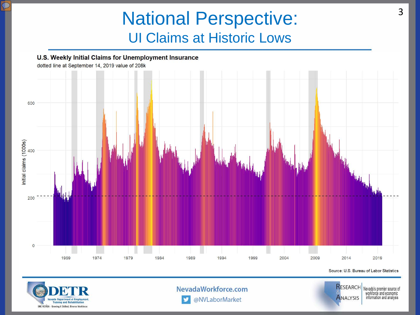#### National Perspective: UI Claims at Historic Lows





NevadaWorkforce.com

@NVLaborMarket



Nevada's premier source of workforce and economic information and analysis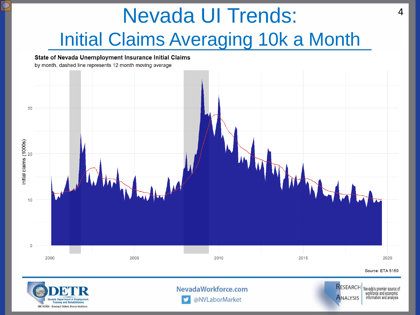# Nevada UI Trends: Initial Claims Averaging 10k a Month



![](_page_4_Picture_2.jpeg)

NevadaWorkforce.com @NVLaborMarket

![](_page_4_Picture_4.jpeg)

Nevada's premier source of workforce and economic information and analysis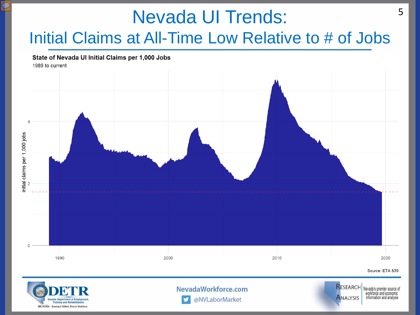![](_page_5_Figure_0.jpeg)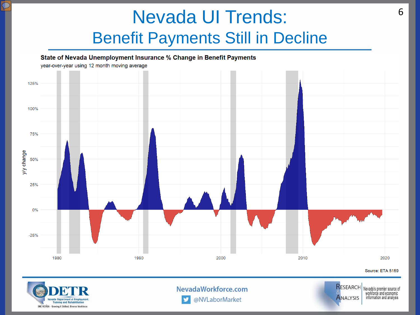#### Nevada UI Trends: Benefit Payments Still in Decline

 $\Omega$ 

![](_page_6_Figure_1.jpeg)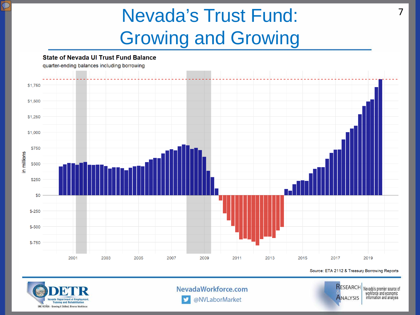## Nevada's Trust Fund: Growing and Growing

![](_page_7_Figure_1.jpeg)

![](_page_7_Picture_2.jpeg)

 $\mathcal{L}% _{0}\left( \mathcal{L}_{0}\right) =\mathcal{L}_{0}\left( \mathcal{L}_{0}\right)$ 

NevadaWorkforce.com

![](_page_7_Picture_4.jpeg)

Nevada's premier source of workforce and economic information and analysis

7

@NVLaborMarket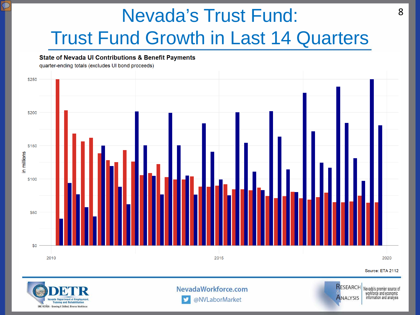# Nevada's Trust Fund: Trust Fund Growth in Last 14 Quarters

![](_page_8_Figure_1.jpeg)

![](_page_8_Picture_2.jpeg)

 $\mathcal{L}% _{0}\left( t\right) \in\mathcal{L}_{0}\left( 0\right)$ 

NevadaWorkforce.com @NVLaborMarket

![](_page_8_Picture_4.jpeg)

RESEARCH Nevada's premier source of workforce and economic information and analysis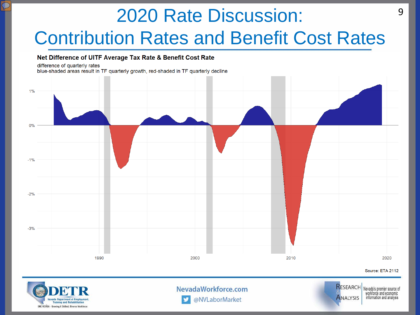# 2020 Rate Discussion: Contribution Rates and Benefit Cost Rates

#### Net Difference of UITF Average Tax Rate & Benefit Cost Rate

#### difference of quarterly rates

blue-shaded areas result in TF quarterly growth, red-shaded in TF quarterly decline

![](_page_9_Figure_4.jpeg)

![](_page_9_Picture_5.jpeg)

@NVLaborMarket

![](_page_9_Picture_7.jpeg)

workforce and economic information and analysis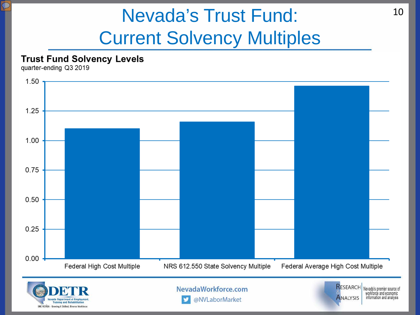## Nevada's Trust Fund: Current Solvency Multiples

![](_page_10_Figure_1.jpeg)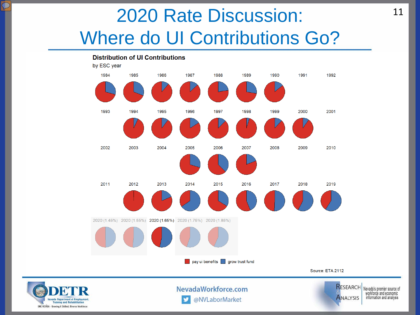### 2020 Rate Discussion: Where do UI Contributions Go?

![](_page_11_Figure_1.jpeg)

![](_page_11_Picture_2.jpeg)

 $\mathcal{L}% _{0}\left( \mathcal{L}_{0}\right) =\mathcal{L}_{0}\left( \mathcal{L}_{0}\right)$ 

NevadaWorkforce.com @NVLaborMarket

![](_page_11_Picture_4.jpeg)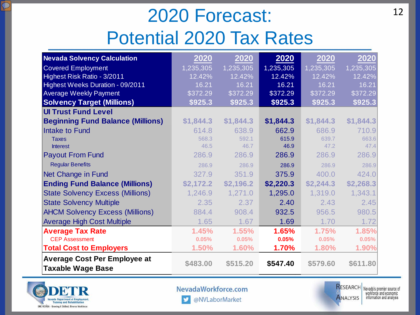## 2020 Forecast: Potential 2020 Tax Rates

| <b>Nevada Solvency Calculation</b>                              | 2020      | 2020      | 2020      | 2020      | 2020      |
|-----------------------------------------------------------------|-----------|-----------|-----------|-----------|-----------|
| <b>Covered Employment</b>                                       | 1,235,305 | 1,235,305 | 1,235,305 | 1,235,305 | 1,235,305 |
| Highest Risk Ratio - 3/2011                                     | 12.42%    | 12.42%    | 12.42%    | 12.42%    | 12.42%    |
| Highest Weeks Duration - 09/2011                                | 16.21     | 16.21     | 16.21     | 16.21     | 16.21     |
| <b>Average Weekly Payment</b>                                   | \$372.29  | \$372.29  | \$372.29  | \$372.29  | \$372.29  |
| <b>Solvency Target (Millions)</b>                               | \$925.3   | \$925.3   | \$925.3   | \$925.3   | \$925.3   |
| <b>UI Trust Fund Level</b>                                      |           |           |           |           |           |
| <b>Beginning Fund Balance (Millions)</b>                        | \$1,844.3 | \$1,844.3 | \$1,844.3 | \$1,844.3 | \$1,844.3 |
| <b>Intake to Fund</b>                                           | 614.8     | 638.9     | 662.9     | 686.9     | 710.9     |
| <b>Taxes</b>                                                    | 568.3     | 592.1     | 615.9     | 639.7     | 663.6     |
| <b>Interest</b>                                                 | 46.5      | 46.7      | 46.9      | 47.2      | 47.4      |
| <b>Payout From Fund</b>                                         | 286.9     | 286.9     | 286.9     | 286.9     | 286.9     |
| <b>Regular Benefits</b>                                         | 286.9     | 286.9     | 286.9     | 286.9     | 286.9     |
| Net Change in Fund                                              | 327.9     | 351.9     | 375.9     | 400.0     | 424.0     |
| <b>Ending Fund Balance (Millions)</b>                           | \$2,172.2 | \$2,196.2 | \$2,220.3 | \$2,244.3 | \$2,268.3 |
| <b>State Solvency Excess (Millions)</b>                         | 1,246.9   | 1,271.0   | 1,295.0   | 1,319.0   | 1,343.1   |
| <b>State Solvency Multiple</b>                                  | 2.35      | 2.37      | 2.40      | 2.43      | 2.45      |
| <b>AHCM Solvency Excess (Millions)</b>                          | 884.4     | 908.4     | 932.5     | 956.5     | 980.5     |
| <b>Average High Cost Multiple</b>                               | 1.65      | 1.67      | 1.69      | 1.70      | 1.72      |
| <b>Average Tax Rate</b>                                         | 1.45%     | 1.55%     | 1.65%     | 1.75%     | 1.85%     |
| <b>CEP Assessment</b>                                           | 0.05%     | 0.05%     | 0.05%     | 0.05%     | 0.05%     |
| <b>Total Cost to Employers</b>                                  | 1.50%     | 1.60%     | 1.70%     | 1.80%     | 1.90%     |
| <b>Average Cost Per Employee at</b><br><b>Taxable Wage Base</b> | \$483.00  | \$515.20  | \$547.40  | \$579.60  | \$611.80  |

![](_page_12_Picture_2.jpeg)

 $\sqrt{2}$ 

NevadaWorkforce.com

![](_page_12_Picture_4.jpeg)

@NVLaborMarket  $\mathbf{y}$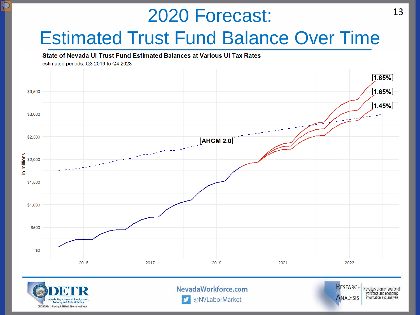# 2020 Forecast: Estimated Trust Fund Balance Over Time

#### State of Nevada UI Trust Fund Estimated Balances at Various UI Tax Rates

![](_page_13_Figure_2.jpeg)

![](_page_13_Figure_3.jpeg)

![](_page_13_Picture_4.jpeg)

NevadaWorkforce.com @NVLaborMarket

![](_page_13_Picture_6.jpeg)

Nevada's premier source of workforce and economic information and analysis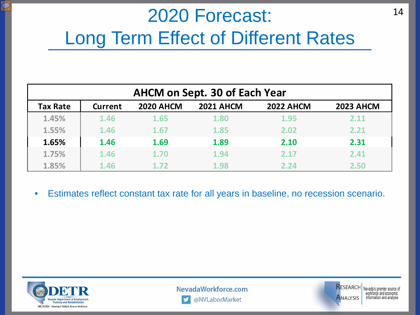## 2020 Forecast: Long Term Effect of Different Rates

| <b>AHCM on Sept. 30 of Each Year</b> |                |                  |                  |                  |                  |  |  |  |  |
|--------------------------------------|----------------|------------------|------------------|------------------|------------------|--|--|--|--|
| Tax Rate                             | <b>Current</b> | <b>2020 AHCM</b> | <b>2021 AHCM</b> | <b>2022 AHCM</b> | <b>2023 AHCM</b> |  |  |  |  |
| 1.45%                                | 1.46           | 1.65             | 1.80             | 1.95             | 2.11             |  |  |  |  |
| 1.55%                                | 1.46           | 1.67             | 1.85             | 2.02             | 2.21             |  |  |  |  |
| 1.65%                                | 1.46           | 1.69             | 1.89             | 2.10             | 2.31             |  |  |  |  |
| 1.75%                                | 1.46           | 1.70             | 1.94             | 2.17             | 2.41             |  |  |  |  |
| 1.85%                                | 1.46           | 1.72             | 1.98             | 2.24             | 2.50             |  |  |  |  |

• Estimates reflect constant tax rate for all years in baseline, no recession scenario.

![](_page_14_Picture_3.jpeg)

NevadaWorkforce.com @NVLaborMarket

![](_page_14_Picture_5.jpeg)

**RESEARCH** Nevada's premier source of workforce and economic information and analysis